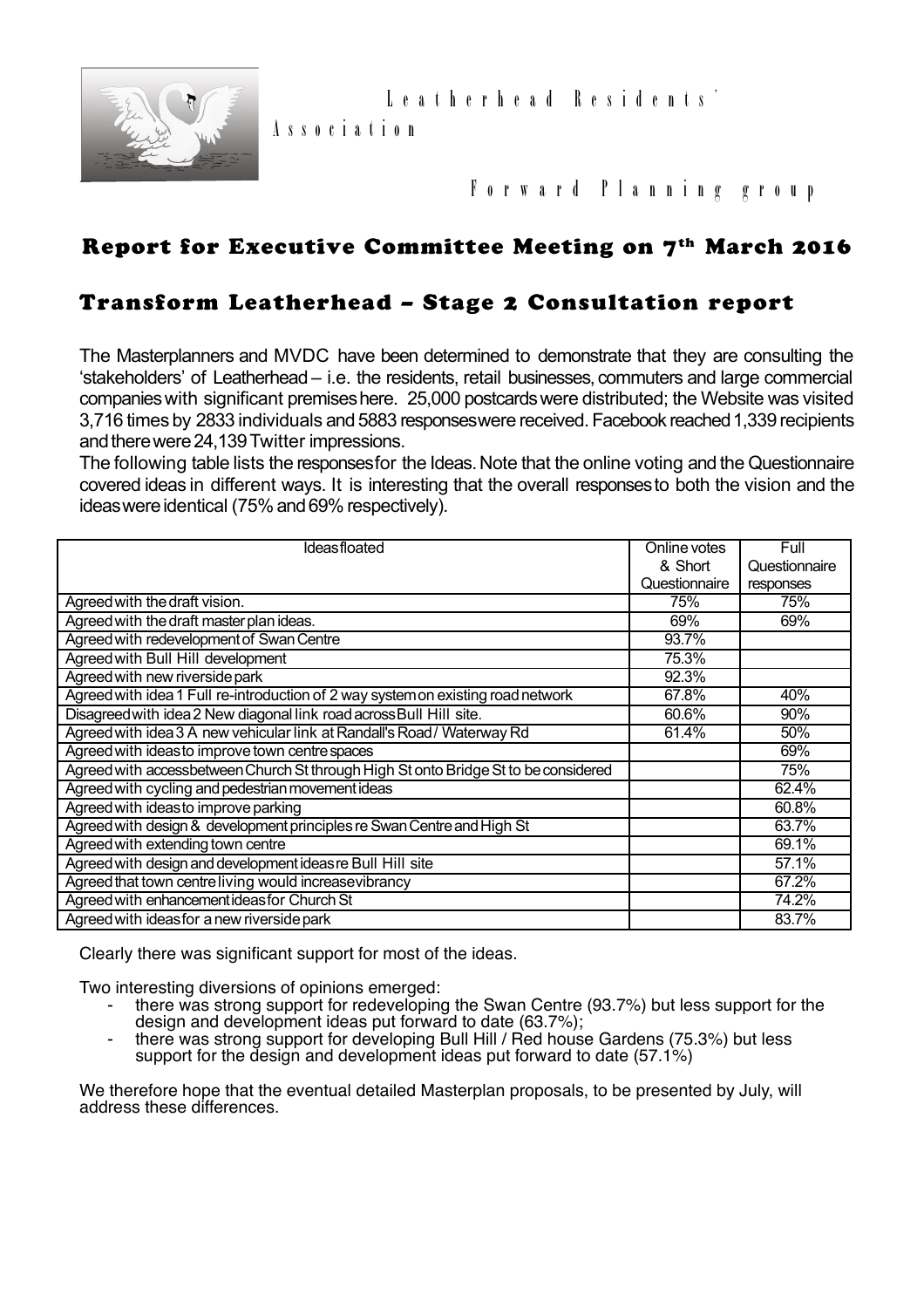

## **F o r w a r d P l a n n i n g g r o u p**

## Report for Executive Committee Meeting on 7<sup>th</sup> March 2016

### Transform Leatherhead – Stage 2 Consultation report

**A s s o c i a t i o n**

The Masterplanners and MVDC have been determined to demonstrate that they are consulting the 'stakeholders' of Leatherhead – i.e. the residents, retail businesses, commuters and large commercial companies with significant premises here. 25,000 postcards were distributed; the Website was visited 3,716 times by 2833 individuals and 5883 responses were received. Facebook reached 1,339 recipients and there were 24,139 Twitter impressions.

The following table lists the responses for the Ideas. Note that the online voting and the Questionnaire covered ideas in different ways. It is interesting that the overall responses to both the vision and the ideas were identical (75% and 69% respectively).

| <b>Ideasfloated</b>                                                                 | Online votes  | Full          |
|-------------------------------------------------------------------------------------|---------------|---------------|
|                                                                                     | & Short       | Questionnaire |
|                                                                                     | Questionnaire | responses     |
| Agreed with the draft vision.                                                       | 75%           | 75%           |
| Agreed with the draft master plan ideas.                                            | 69%           | 69%           |
| Agreed with redevelopment of Swan Centre                                            | 93.7%         |               |
| Agreed with Bull Hill development                                                   | 75.3%         |               |
| Agreed with new riverside park                                                      | 92.3%         |               |
| Agreed with idea 1 Full re-introduction of 2 way system on existing road network    | 67.8%         | 40%           |
| Disagreed with idea 2 New diagonal link road across Bull Hill site.                 | 60.6%         | 90%           |
| Agreed with idea 3 A new vehicular link at Randall's Road / Waterway Rd             | 61.4%         | 50%           |
| Agreed with ideas to improve town centre spaces                                     |               | 69%           |
| Agreed with accessbetween Church St through High St onto Bridge St to be considered |               | 75%           |
| Agreed with cycling and pedestrian movement ideas                                   |               | 62.4%         |
| Agreed with ideas to improve parking                                                |               | 60.8%         |
| Agreed with design & development principles re Swan Centre and High St              |               | 63.7%         |
| Agreed with extending town centre                                                   |               | 69.1%         |
| Agreed with design and development ideas re Bull Hill site                          |               | 57.1%         |
| Agreed that town centre living would increase vibrancy                              |               | 67.2%         |
| Agreed with enhancement ideas for Church St                                         |               | 74.2%         |
| Agreed with ideas for a new riverside park                                          |               | 83.7%         |

Clearly there was significant support for most of the ideas.

Two interesting diversions of opinions emerged:

- there was strong support for redeveloping the Swan Centre (93.7%) but less support for the design and development ideas put forward to date (63.7%);
- there was strong support for developing Bull Hill / Red house Gardens (75.3%) but less support for the design and development ideas put forward to date (57.1%)

We therefore hope that the eventual detailed Masterplan proposals, to be presented by July, will address these differences.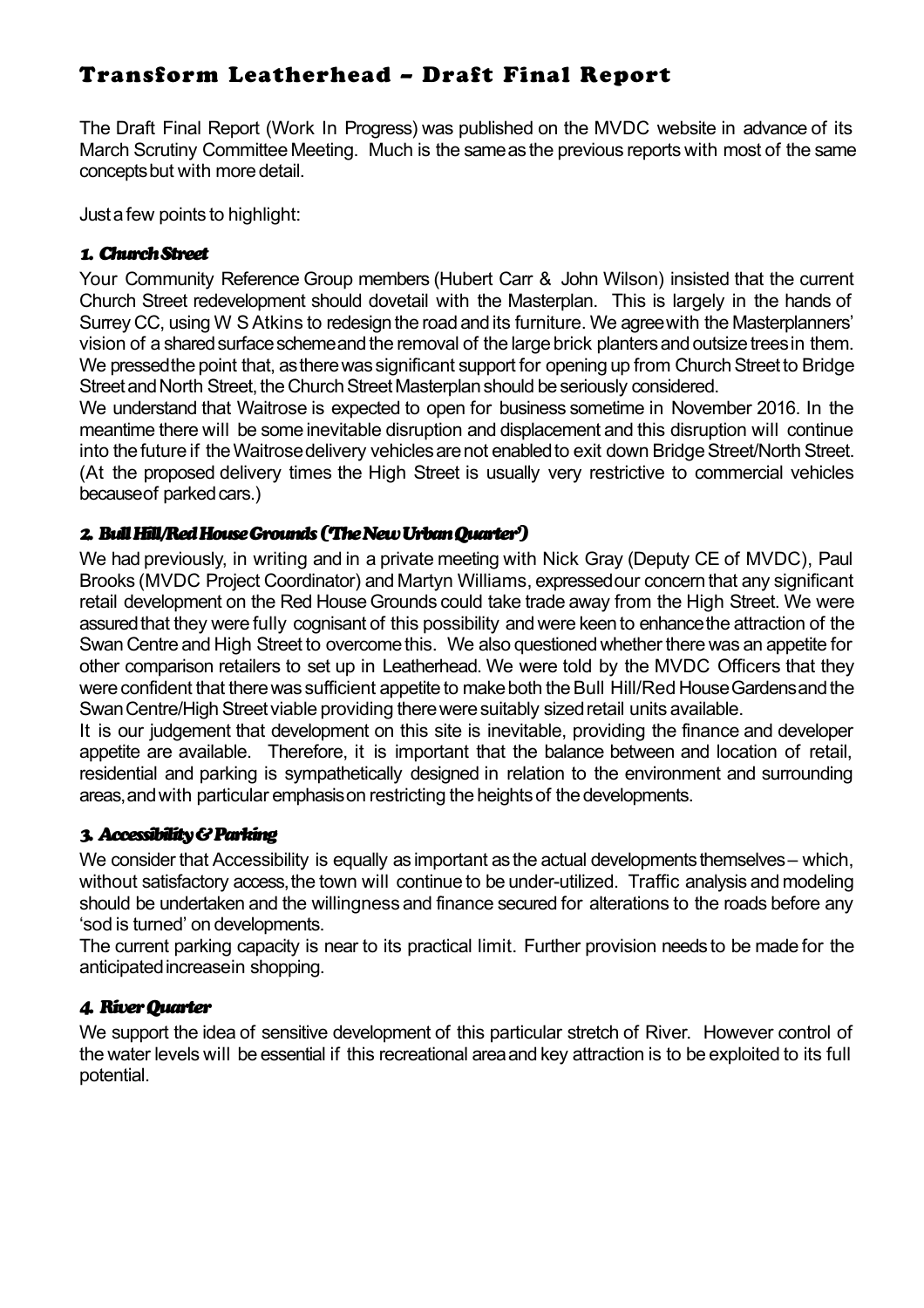# Transform Leatherhead – Draft Final Report

The Draft Final Report (Work In Progress) was published on the MVDC website in advance of its March Scrutiny Committee Meeting. Much is the same as the previous reports with most of the same concepts but with more detail.

Just a few points to highlight:

#### *1. Church Street*

Your Community Reference Group members (Hubert Carr & John Wilson) insisted that the current Church Street redevelopment should dovetail with the Masterplan. This is largely in the hands of Surrey CC, using W S Atkins to redesign the road and its furniture. We agree with the Masterplanners' vision of a shared surface scheme and the removal of the large brick planters and outsize trees in them. We pressed the point that, as there was significant support for opening up from Church Street to Bridge Street and North Street, the Church Street Masterplan should be seriously considered.

We understand that Waitrose is expected to open for business sometime in November 2016. In the meantime there will be some inevitable disruption and displacement and this disruption will continue into the future if the Waitrose delivery vehicles are not enabled to exit down Bridge Street/North Street. (At the proposed delivery times the High Street is usually very restrictive to commercial vehicles because of parked cars.)

#### *2. Bull Hill/Red House Grounds ('The New Urban Quarter')*

We had previously, in writing and in a private meeting with Nick Gray (Deputy CE of MVDC), Paul Brooks (MVDC Project Coordinator) and Martyn Williams, expressed our concern that any significant retail development on the Red House Grounds could take trade away from the High Street. We were assured that they were fully cognisant of this possibility and were keen to enhance the attraction of the Swan Centre and High Street to overcome this. We also questioned whether there was an appetite for other comparison retailers to set up in Leatherhead. We were told by the MVDC Officers that they were confident that there was sufficient appetite to make both the Bull Hill/Red House Gardens and the Swan Centre/High Street viable providing there were suitably sized retail units available.

It is our judgement that development on this site is inevitable, providing the finance and developer appetite are available. Therefore, it is important that the balance between and location of retail, residential and parking is sympathetically designed in relation to the environment and surrounding areas, and with particular emphasis on restricting the heights of the developments.

#### *3. Accessibility & Parking*

We consider that Accessibility is equally as important as the actual developments themselves – which, without satisfactory access, the town will continue to be under-utilized. Traffic analysis and modeling should be undertaken and the willingness and finance secured for alterations to the roads before any 'sod is turned' on developments.

The current parking capacity is near to its practical limit. Further provision needs to be made for the anticipated increase in shopping.

#### *4. River Quarter*

We support the idea of sensitive development of this particular stretch of River. However control of the water levels will be essential if this recreational area and key attraction is to be exploited to its full potential.